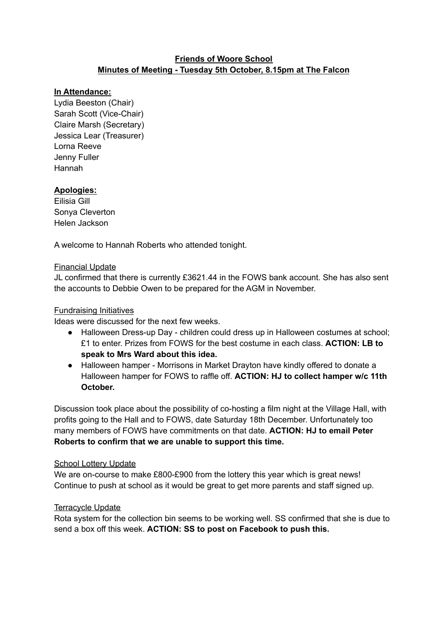## **Friends of Woore School Minutes of Meeting - Tuesday 5th October, 8.15pm at The Falcon**

## **In Attendance:**

Lydia Beeston (Chair) Sarah Scott (Vice-Chair) Claire Marsh (Secretary) Jessica Lear (Treasurer) Lorna Reeve Jenny Fuller Hannah

# **Apologies:**

Eilisia Gill Sonya Cleverton Helen Jackson

A welcome to Hannah Roberts who attended tonight.

## Financial Update

JL confirmed that there is currently £3621.44 in the FOWS bank account. She has also sent the accounts to Debbie Owen to be prepared for the AGM in November.

#### Fundraising Initiatives

Ideas were discussed for the next few weeks.

- Halloween Dress-up Day children could dress up in Halloween costumes at school; £1 to enter. Prizes from FOWS for the best costume in each class. **ACTION: LB to speak to Mrs Ward about this idea.**
- Halloween hamper Morrisons in Market Drayton have kindly offered to donate a Halloween hamper for FOWS to raffle off. **ACTION: HJ to collect hamper w/c 11th October.**

Discussion took place about the possibility of co-hosting a film night at the Village Hall, with profits going to the Hall and to FOWS, date Saturday 18th December. Unfortunately too many members of FOWS have commitments on that date. **ACTION: HJ to email Peter Roberts to confirm that we are unable to support this time.**

#### School Lottery Update

We are on-course to make £800-£900 from the lottery this year which is great news! Continue to push at school as it would be great to get more parents and staff signed up.

# Terracycle Update

Rota system for the collection bin seems to be working well. SS confirmed that she is due to send a box off this week. **ACTION: SS to post on Facebook to push this.**